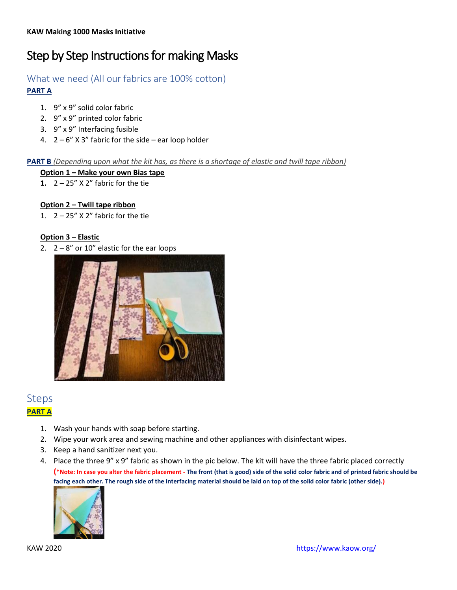# Step by Step Instructions for making Masks

# What we need (All our fabrics are 100% cotton)

## **PART A**

- 1. 9" x 9" solid color fabric
- 2. 9" x 9" printed color fabric
- 3. 9" x 9" Interfacing fusible
- 4.  $2 6"$  X 3" fabric for the side ear loop holder

### **PART B** *(Depending upon what the kit has, as there is a shortage of elastic and twill tape ribbon)*

#### **Option 1 – Make your own Bias tape**

**1.** 2 – 25" X 2" fabric for the tie

# **Option 2 – Twill tape ribbon**

1.  $2 - 25''$  X 2" fabric for the tie

### **Option 3 – Elastic**

2.  $2 - 8$ " or 10" elastic for the ear loops



# Steps **PART A**

- 1. Wash your hands with soap before starting.
- 2. Wipe your work area and sewing machine and other appliances with disinfectant wipes.
- 3. Keep a hand sanitizer next you.
- 4. Place the three 9" x 9" fabric as shown in the pic below. The kit will have the three fabric placed correctly **(\*Note: In case you alter the fabric placement - The front (that is good) side of the solid color fabric and of printed fabric should be facing each other. The rough side of the Interfacing material should be laid on top of the solid color fabric (other side).)**

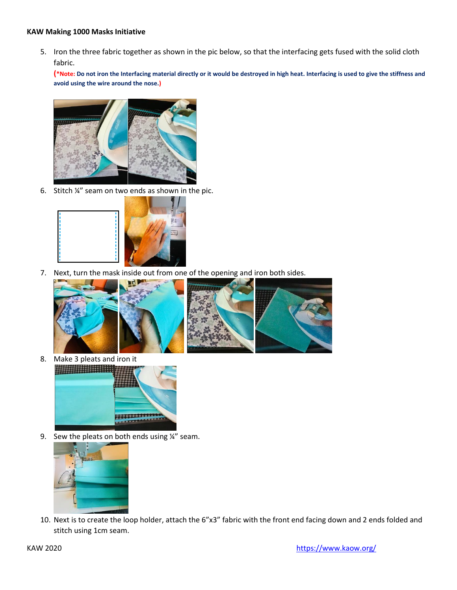#### **KAW Making 1000 Masks Initiative**

5. Iron the three fabric together as shown in the pic below, so that the interfacing gets fused with the solid cloth fabric.

**(\*Note: Do not iron the Interfacing material directly or it would be destroyed in high heat. Interfacing is used to give the stiffness and avoid using the wire around the nose.)**



6. Stitch ¼" seam on two ends as shown in the pic.



7. Next, turn the mask inside out from one of the opening and iron both sides.



8. Make 3 pleats and iron it



9. Sew the pleats on both ends using  $\frac{1}{4}$ " seam.



10. Next is to create the loop holder, attach the 6"x3" fabric with the front end facing down and 2 ends folded and stitch using 1cm seam.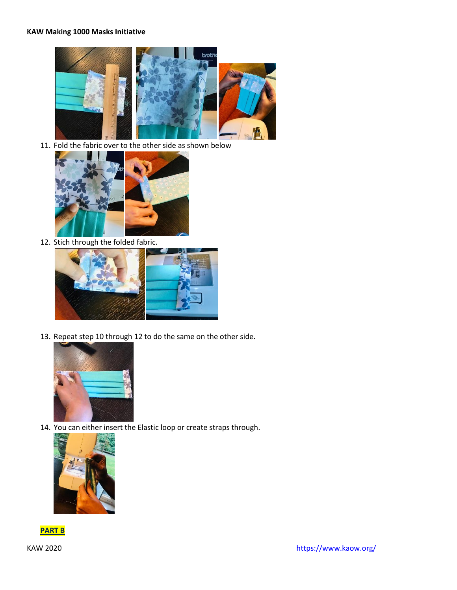

11. Fold the fabric over to the other side as shown below



12. Stich through the folded fabric.



13. Repeat step 10 through 12 to do the same on the other side.



14. You can either insert the Elastic loop or create straps through.





KAW 2020 <https://www.kaow.org/>